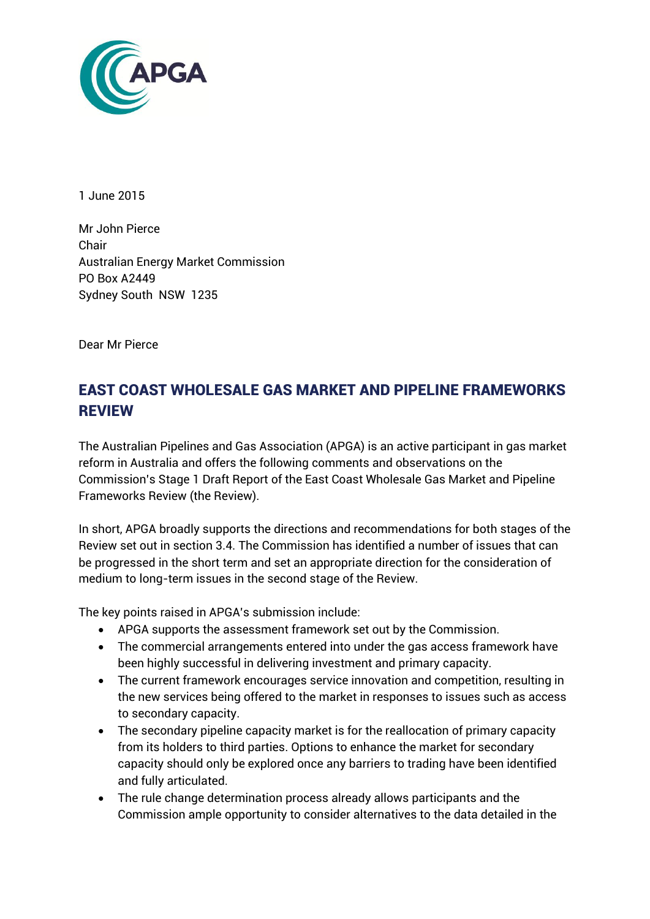

1 June 2015

Mr John Pierce Chair Australian Energy Market Commission PO Box A2449 Sydney South NSW 1235

Dear Mr Pierce

# EAST COAST WHOLESALE GAS MARKET AND PIPELINE FRAMEWORKS REVIEW

The Australian Pipelines and Gas Association (APGA) is an active participant in gas market reform in Australia and offers the following comments and observations on the Commission's Stage 1 Draft Report of the East Coast Wholesale Gas Market and Pipeline Frameworks Review (the Review).

In short, APGA broadly supports the directions and recommendations for both stages of the Review set out in section 3.4. The Commission has identified a number of issues that can be progressed in the short term and set an appropriate direction for the consideration of medium to long-term issues in the second stage of the Review.

The key points raised in APGA's submission include:

- APGA supports the assessment framework set out by the Commission.
- The commercial arrangements entered into under the gas access framework have been highly successful in delivering investment and primary capacity.
- The current framework encourages service innovation and competition, resulting in the new services being offered to the market in responses to issues such as access to secondary capacity.
- The secondary pipeline capacity market is for the reallocation of primary capacity from its holders to third parties. Options to enhance the market for secondary capacity should only be explored once any barriers to trading have been identified and fully articulated.
- The rule change determination process already allows participants and the Commission ample opportunity to consider alternatives to the data detailed in the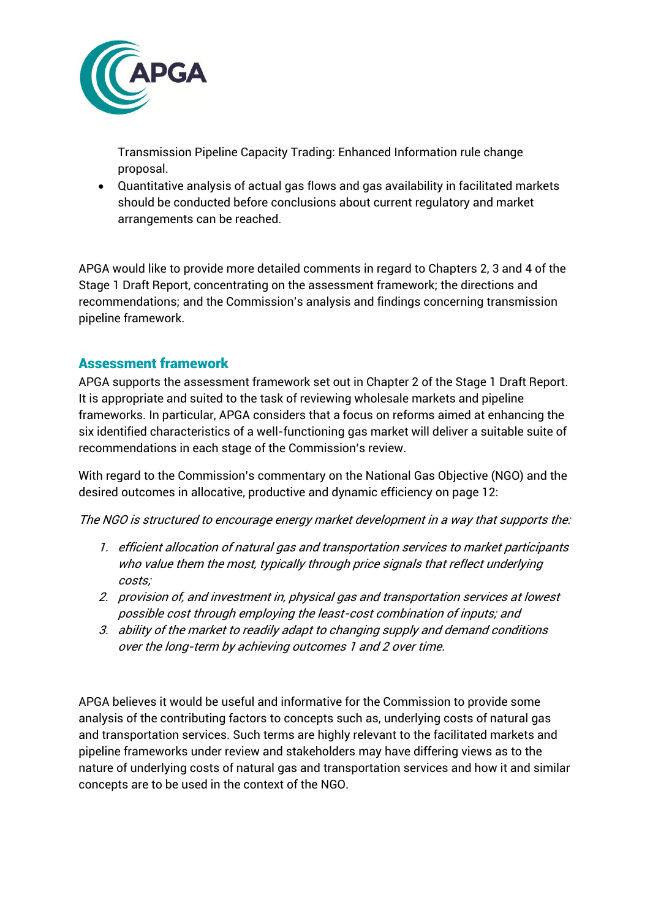

Transmission Pipeline Capacity Trading: Enhanced Information rule change proposal.

 Quantitative analysis of actual gas flows and gas availability in facilitated markets should be conducted before conclusions about current regulatory and market arrangements can be reached.

APGA would like to provide more detailed comments in regard to Chapters 2, 3 and 4 of the Stage 1 Draft Report, concentrating on the assessment framework; the directions and recommendations; and the Commission's analysis and findings concerning transmission pipeline framework.

## Assessment framework

APGA supports the assessment framework set out in Chapter 2 of the Stage 1 Draft Report. It is appropriate and suited to the task of reviewing wholesale markets and pipeline frameworks. In particular, APGA considers that a focus on reforms aimed at enhancing the six identified characteristics of a well-functioning gas market will deliver a suitable suite of recommendations in each stage of the Commission's review.

With regard to the Commission's commentary on the National Gas Objective (NGO) and the desired outcomes in allocative, productive and dynamic efficiency on page 12:

The NGO is structured to encourage energy market development in a way that supports the:

- 1. efficient allocation of natural gas and transportation services to market participants who value them the most, typically through price signals that reflect underlying costs;
- 2. provision of, and investment in, physical gas and transportation services at lowest possible cost through employing the least-cost combination of inputs; and
- 3. ability of the market to readily adapt to changing supply and demand conditions over the long-term by achieving outcomes 1 and 2 over time.

APGA believes it would be useful and informative for the Commission to provide some analysis of the contributing factors to concepts such as, underlying costs of natural gas and transportation services. Such terms are highly relevant to the facilitated markets and pipeline frameworks under review and stakeholders may have differing views as to the nature of underlying costs of natural gas and transportation services and how it and similar concepts are to be used in the context of the NGO.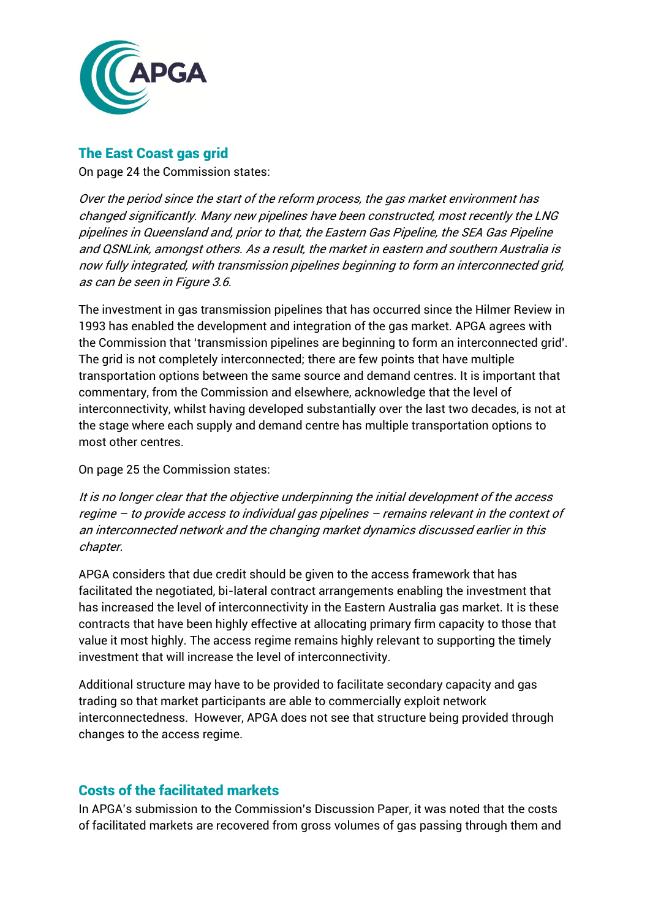

### The East Coast gas grid

On page 24 the Commission states:

Over the period since the start of the reform process, the gas market environment has changed significantly. Many new pipelines have been constructed, most recently the LNG pipelines in Queensland and, prior to that, the Eastern Gas Pipeline, the SEA Gas Pipeline and QSNLink, amongst others. As a result, the market in eastern and southern Australia is now fully integrated, with transmission pipelines beginning to form an interconnected grid, as can be seen in Figure 3.6.

The investment in gas transmission pipelines that has occurred since the Hilmer Review in 1993 has enabled the development and integration of the gas market. APGA agrees with the Commission that 'transmission pipelines are beginning to form an interconnected grid'. The grid is not completely interconnected; there are few points that have multiple transportation options between the same source and demand centres. It is important that commentary, from the Commission and elsewhere, acknowledge that the level of interconnectivity, whilst having developed substantially over the last two decades, is not at the stage where each supply and demand centre has multiple transportation options to most other centres.

On page 25 the Commission states:

It is no longer clear that the objective underpinning the initial development of the access regime – to provide access to individual gas pipelines – remains relevant in the context of an interconnected network and the changing market dynamics discussed earlier in this chapter.

APGA considers that due credit should be given to the access framework that has facilitated the negotiated, bi-lateral contract arrangements enabling the investment that has increased the level of interconnectivity in the Eastern Australia gas market. It is these contracts that have been highly effective at allocating primary firm capacity to those that value it most highly. The access regime remains highly relevant to supporting the timely investment that will increase the level of interconnectivity.

Additional structure may have to be provided to facilitate secondary capacity and gas trading so that market participants are able to commercially exploit network interconnectedness. However, APGA does not see that structure being provided through changes to the access regime.

## Costs of the facilitated markets

In APGA's submission to the Commission's Discussion Paper, it was noted that the costs of facilitated markets are recovered from gross volumes of gas passing through them and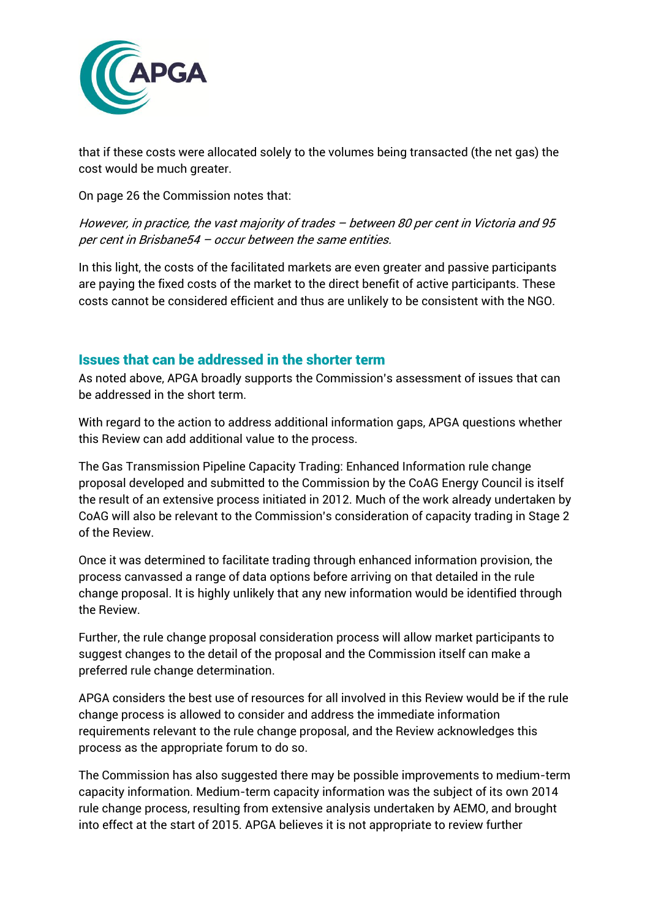

that if these costs were allocated solely to the volumes being transacted (the net gas) the cost would be much greater.

On page 26 the Commission notes that:

However, in practice, the vast majority of trades – between 80 per cent in Victoria and 95 per cent in Brisbane54 – occur between the same entities.

In this light, the costs of the facilitated markets are even greater and passive participants are paying the fixed costs of the market to the direct benefit of active participants. These costs cannot be considered efficient and thus are unlikely to be consistent with the NGO.

#### Issues that can be addressed in the shorter term

As noted above, APGA broadly supports the Commission's assessment of issues that can be addressed in the short term.

With regard to the action to address additional information gaps, APGA questions whether this Review can add additional value to the process.

The Gas Transmission Pipeline Capacity Trading: Enhanced Information rule change proposal developed and submitted to the Commission by the CoAG Energy Council is itself the result of an extensive process initiated in 2012. Much of the work already undertaken by CoAG will also be relevant to the Commission's consideration of capacity trading in Stage 2 of the Review.

Once it was determined to facilitate trading through enhanced information provision, the process canvassed a range of data options before arriving on that detailed in the rule change proposal. It is highly unlikely that any new information would be identified through the Review.

Further, the rule change proposal consideration process will allow market participants to suggest changes to the detail of the proposal and the Commission itself can make a preferred rule change determination.

APGA considers the best use of resources for all involved in this Review would be if the rule change process is allowed to consider and address the immediate information requirements relevant to the rule change proposal, and the Review acknowledges this process as the appropriate forum to do so.

The Commission has also suggested there may be possible improvements to medium-term capacity information. Medium-term capacity information was the subject of its own 2014 rule change process, resulting from extensive analysis undertaken by AEMO, and brought into effect at the start of 2015. APGA believes it is not appropriate to review further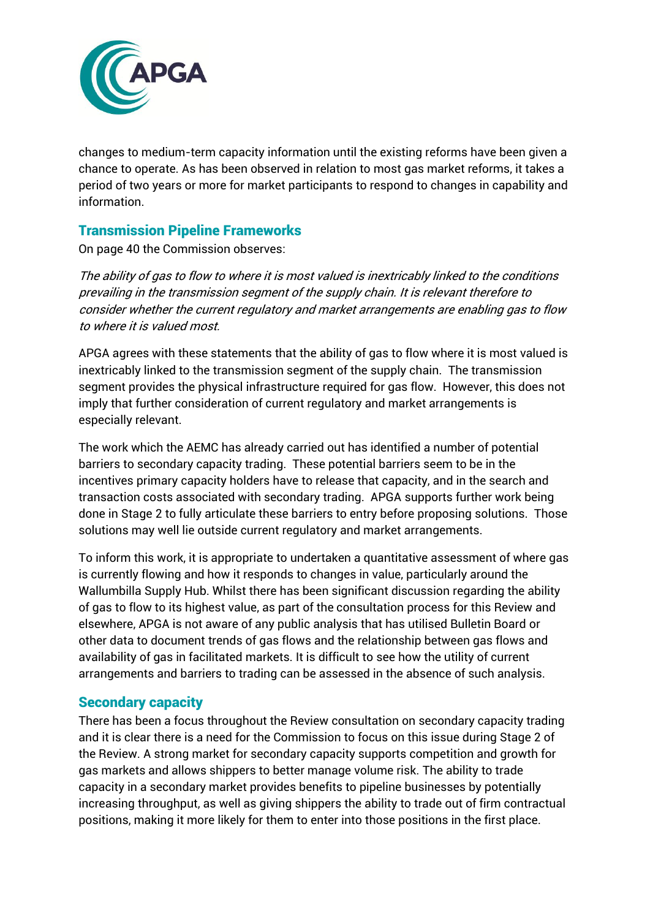

changes to medium-term capacity information until the existing reforms have been given a chance to operate. As has been observed in relation to most gas market reforms, it takes a period of two years or more for market participants to respond to changes in capability and information.

#### Transmission Pipeline Frameworks

On page 40 the Commission observes:

The ability of gas to flow to where it is most valued is inextricably linked to the conditions prevailing in the transmission segment of the supply chain. It is relevant therefore to consider whether the current regulatory and market arrangements are enabling gas to flow to where it is valued most.

APGA agrees with these statements that the ability of gas to flow where it is most valued is inextricably linked to the transmission segment of the supply chain. The transmission segment provides the physical infrastructure required for gas flow. However, this does not imply that further consideration of current regulatory and market arrangements is especially relevant.

The work which the AEMC has already carried out has identified a number of potential barriers to secondary capacity trading. These potential barriers seem to be in the incentives primary capacity holders have to release that capacity, and in the search and transaction costs associated with secondary trading. APGA supports further work being done in Stage 2 to fully articulate these barriers to entry before proposing solutions. Those solutions may well lie outside current regulatory and market arrangements.

To inform this work, it is appropriate to undertaken a quantitative assessment of where gas is currently flowing and how it responds to changes in value, particularly around the Wallumbilla Supply Hub. Whilst there has been significant discussion regarding the ability of gas to flow to its highest value, as part of the consultation process for this Review and elsewhere, APGA is not aware of any public analysis that has utilised Bulletin Board or other data to document trends of gas flows and the relationship between gas flows and availability of gas in facilitated markets. It is difficult to see how the utility of current arrangements and barriers to trading can be assessed in the absence of such analysis.

#### Secondary capacity

There has been a focus throughout the Review consultation on secondary capacity trading and it is clear there is a need for the Commission to focus on this issue during Stage 2 of the Review. A strong market for secondary capacity supports competition and growth for gas markets and allows shippers to better manage volume risk. The ability to trade capacity in a secondary market provides benefits to pipeline businesses by potentially increasing throughput, as well as giving shippers the ability to trade out of firm contractual positions, making it more likely for them to enter into those positions in the first place.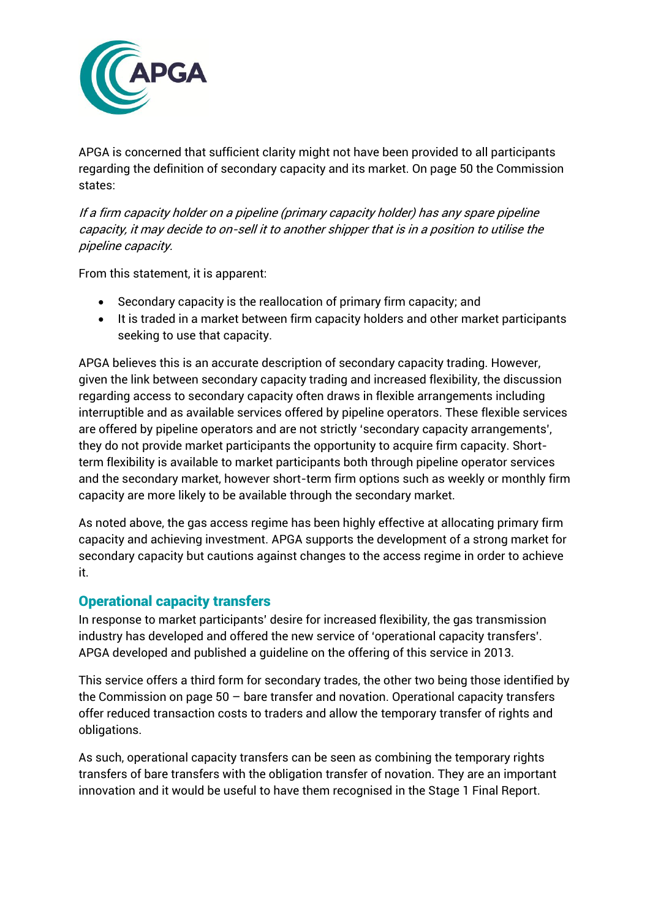

APGA is concerned that sufficient clarity might not have been provided to all participants regarding the definition of secondary capacity and its market. On page 50 the Commission states:

If a firm capacity holder on a pipeline (primary capacity holder) has any spare pipeline capacity, it may decide to on-sell it to another shipper that is in a position to utilise the pipeline capacity.

From this statement, it is apparent:

- Secondary capacity is the reallocation of primary firm capacity; and
- It is traded in a market between firm capacity holders and other market participants seeking to use that capacity.

APGA believes this is an accurate description of secondary capacity trading. However, given the link between secondary capacity trading and increased flexibility, the discussion regarding access to secondary capacity often draws in flexible arrangements including interruptible and as available services offered by pipeline operators. These flexible services are offered by pipeline operators and are not strictly 'secondary capacity arrangements', they do not provide market participants the opportunity to acquire firm capacity. Shortterm flexibility is available to market participants both through pipeline operator services and the secondary market, however short-term firm options such as weekly or monthly firm capacity are more likely to be available through the secondary market.

As noted above, the gas access regime has been highly effective at allocating primary firm capacity and achieving investment. APGA supports the development of a strong market for secondary capacity but cautions against changes to the access regime in order to achieve it.

## Operational capacity transfers

In response to market participants' desire for increased flexibility, the gas transmission industry has developed and offered the new service of 'operational capacity transfers'. APGA developed and published a guideline on the offering of this service in 2013.

This service offers a third form for secondary trades, the other two being those identified by the Commission on page 50 – bare transfer and novation. Operational capacity transfers offer reduced transaction costs to traders and allow the temporary transfer of rights and obligations.

As such, operational capacity transfers can be seen as combining the temporary rights transfers of bare transfers with the obligation transfer of novation. They are an important innovation and it would be useful to have them recognised in the Stage 1 Final Report.